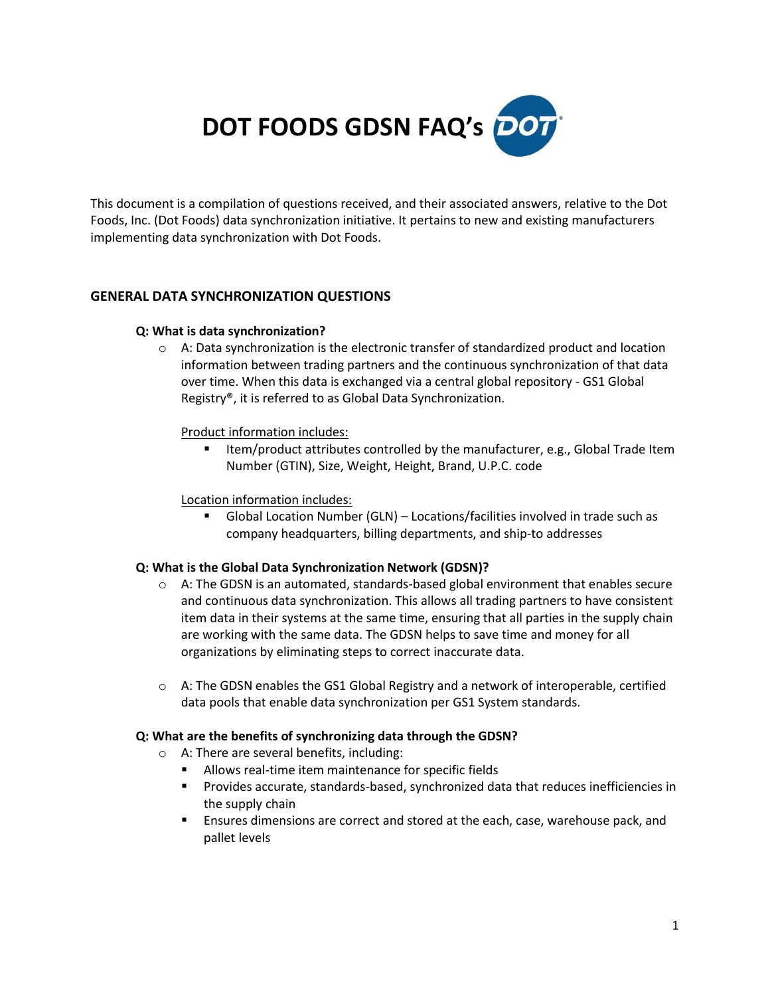

This document is a compilation of questions received, and their associated answers, relative to the Dot Foods, Inc. (Dot Foods) data synchronization initiative. It pertains to new and existing manufacturers implementing data synchronization with Dot Foods.

## **GENERAL DATA SYNCHRONIZATION QUESTIONS**

#### **Q: What is data synchronization?**

 $\circ$  A: Data synchronization is the electronic transfer of standardized product and location information between trading partners and the continuous synchronization of that data over time. When this data is exchanged via a central global repository - GS1 Global Registry®, it is referred to as Global Data Synchronization.

## Product information includes:

**IFELD** 1tem/product attributes controlled by the manufacturer, e.g., Global Trade Item Number (GTIN), Size, Weight, Height, Brand, U.P.C. code

#### Location information includes:

 Global Location Number (GLN) – Locations/facilities involved in trade such as company headquarters, billing departments, and ship-to addresses

## **Q: What is the Global Data Synchronization Network (GDSN)?**

- $\circ$  A: The GDSN is an automated, standards-based global environment that enables secure and continuous data synchronization. This allows all trading partners to have consistent item data in their systems at the same time, ensuring that all parties in the supply chain are working with the same data. The GDSN helps to save time and money for all organizations by eliminating steps to correct inaccurate data.
- $\circ$  A: The GDSN enables the GS1 Global Registry and a network of interoperable, certified data pools that enable data synchronization per GS1 System standards.

#### **Q: What are the benefits of synchronizing data through the GDSN?**

- o A: There are several benefits, including:
	- Allows real-time item maintenance for specific fields
	- Provides accurate, standards-based, synchronized data that reduces inefficiencies in the supply chain
	- Ensures dimensions are correct and stored at the each, case, warehouse pack, and pallet levels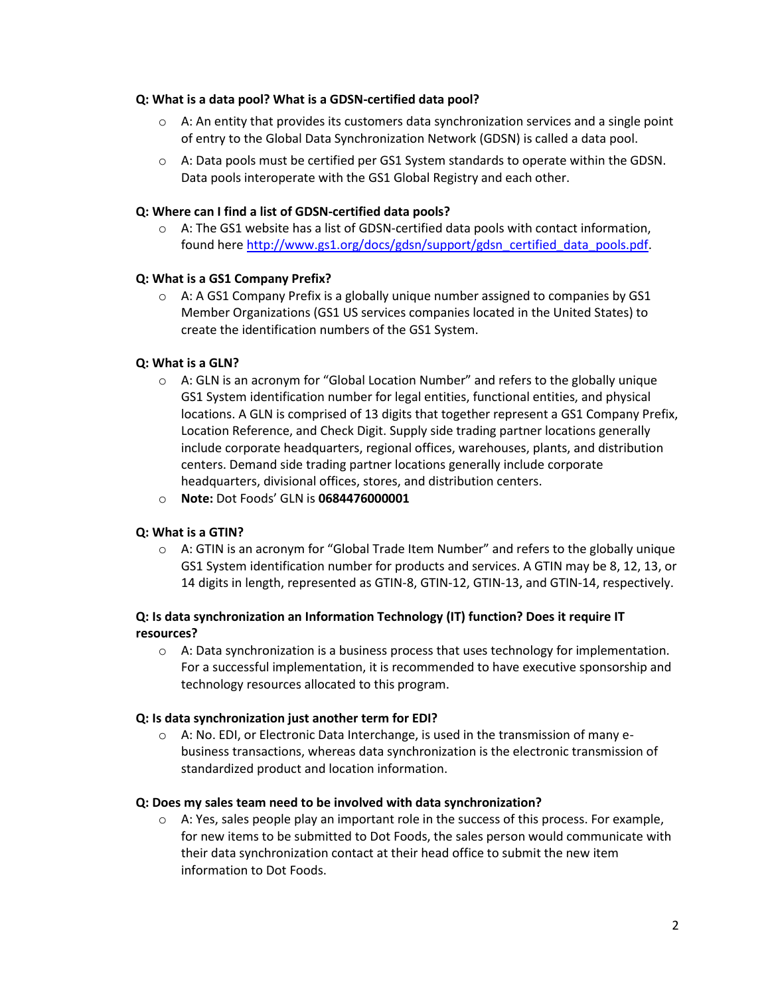#### **Q: What is a data pool? What is a GDSN-certified data pool?**

- $\circ$  A: An entity that provides its customers data synchronization services and a single point of entry to the Global Data Synchronization Network (GDSN) is called a data pool.
- $\circ$  A: Data pools must be certified per GS1 System standards to operate within the GDSN. Data pools interoperate with the GS1 Global Registry and each other.

## **Q: Where can I find a list of GDSN-certified data pools?**

 $\circ$  A: The GS1 website has a list of GDSN-certified data pools with contact information, found here [http://www.gs1.org/docs/gdsn/support/gdsn\\_certified\\_data\\_pools.pdf.](http://www.gs1.org/docs/gdsn/support/gdsn_certified_data_pools.pdf)

## **Q: What is a GS1 Company Prefix?**

 $\circ$  A: A GS1 Company Prefix is a globally unique number assigned to companies by GS1 Member Organizations (GS1 US services companies located in the United States) to create the identification numbers of the GS1 System.

## **Q: What is a GLN?**

- $\circ$  A: GLN is an acronym for "Global Location Number" and refers to the globally unique GS1 System identification number for legal entities, functional entities, and physical locations. A GLN is comprised of 13 digits that together represent a GS1 Company Prefix, Location Reference, and Check Digit. Supply side trading partner locations generally include corporate headquarters, regional offices, warehouses, plants, and distribution centers. Demand side trading partner locations generally include corporate headquarters, divisional offices, stores, and distribution centers.
- o **Note:** Dot Foods' GLN is **0684476000001**

## **Q: What is a GTIN?**

 $\circ$  A: GTIN is an acronym for "Global Trade Item Number" and refers to the globally unique GS1 System identification number for products and services. A GTIN may be 8, 12, 13, or 14 digits in length, represented as GTIN-8, GTIN-12, GTIN-13, and GTIN-14, respectively.

# **Q: Is data synchronization an Information Technology (IT) function? Does it require IT resources?**

 $\circ$  A: Data synchronization is a business process that uses technology for implementation. For a successful implementation, it is recommended to have executive sponsorship and technology resources allocated to this program.

## **Q: Is data synchronization just another term for EDI?**

 $\circ$  A: No. EDI, or Electronic Data Interchange, is used in the transmission of many ebusiness transactions, whereas data synchronization is the electronic transmission of standardized product and location information.

## **Q: Does my sales team need to be involved with data synchronization?**

 $\circ$  A: Yes, sales people play an important role in the success of this process. For example, for new items to be submitted to Dot Foods, the sales person would communicate with their data synchronization contact at their head office to submit the new item information to Dot Foods.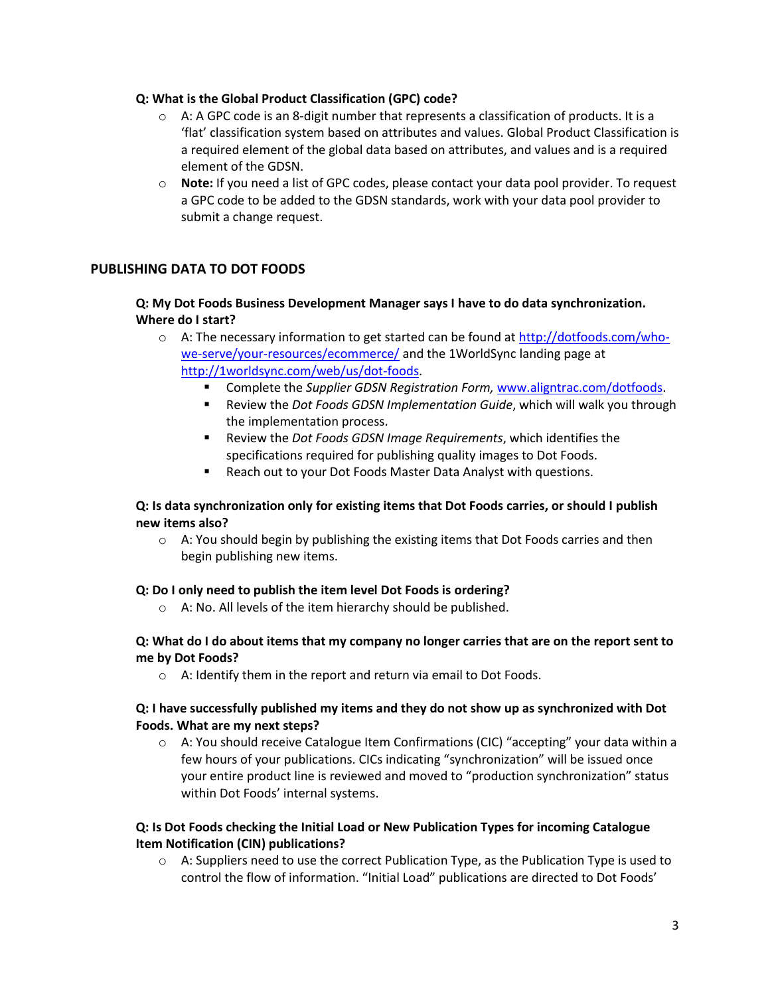## **Q: What is the Global Product Classification (GPC) code?**

- $\circ$  A: A GPC code is an 8-digit number that represents a classification of products. It is a 'flat' classification system based on attributes and values. Global Product Classification is a required element of the global data based on attributes, and values and is a required element of the GDSN.
- o **Note:** If you need a list of GPC codes, please contact your data pool provider. To request a GPC code to be added to the GDSN standards, work with your data pool provider to submit a change request.

# **PUBLISHING DATA TO DOT FOODS**

## **Q: My Dot Foods Business Development Manager says I have to do data synchronization. Where do I start?**

- $\circ$  A: The necessary information to get started can be found at [http://dotfoods.com/who](http://dotfoods.com/who-we-serve/your-resources/ecommerce/)[we-serve/your-resources/ecommerce/](http://dotfoods.com/who-we-serve/your-resources/ecommerce/) and the 1WorldSync landing page at [http://1worldsync.com/web/us/dot-foods.](http://1worldsync.com/web/us/dot-foods)
	- Complete the *Supplier GDSN Registration Form,* [www.aligntrac.com/dotfoods.](http://www.aligntrac.com/dotfoods)
	- Review the *Dot Foods GDSN Implementation Guide*, which will walk you through the implementation process.
	- Review the *Dot Foods GDSN Image Requirements*, which identifies the specifications required for publishing quality images to Dot Foods.
	- Reach out to your Dot Foods Master Data Analyst with questions.

## **Q: Is data synchronization only for existing items that Dot Foods carries, or should I publish new items also?**

 $\circ$  A: You should begin by publishing the existing items that Dot Foods carries and then begin publishing new items.

## **Q: Do I only need to publish the item level Dot Foods is ordering?**

o A: No. All levels of the item hierarchy should be published.

## **Q: What do I do about items that my company no longer carries that are on the report sent to me by Dot Foods?**

o A: Identify them in the report and return via email to Dot Foods.

## **Q: I have successfully published my items and they do not show up as synchronized with Dot Foods. What are my next steps?**

 $\circ$  A: You should receive Catalogue Item Confirmations (CIC) "accepting" your data within a few hours of your publications. CICs indicating "synchronization" will be issued once your entire product line is reviewed and moved to "production synchronization" status within Dot Foods' internal systems.

# **Q: Is Dot Foods checking the Initial Load or New Publication Types for incoming Catalogue Item Notification (CIN) publications?**

 $\circ$  A: Suppliers need to use the correct Publication Type, as the Publication Type is used to control the flow of information. "Initial Load" publications are directed to Dot Foods'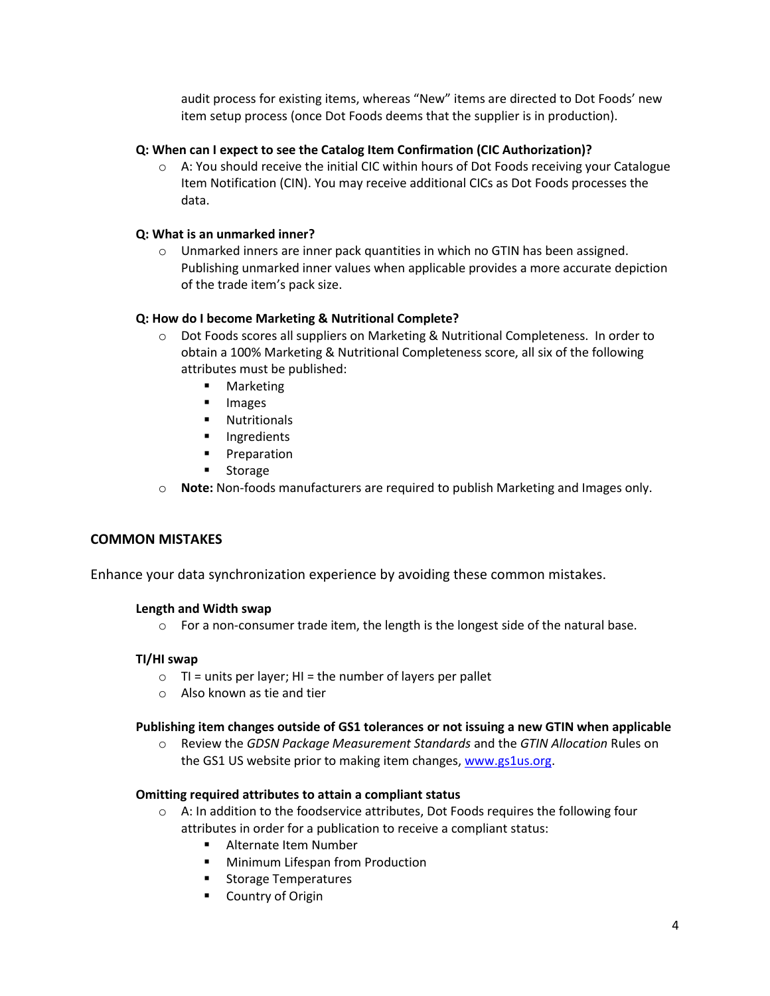audit process for existing items, whereas "New" items are directed to Dot Foods' new item setup process (once Dot Foods deems that the supplier is in production).

## **Q: When can I expect to see the Catalog Item Confirmation (CIC Authorization)?**

 $\circ$  A: You should receive the initial CIC within hours of Dot Foods receiving your Catalogue Item Notification (CIN). You may receive additional CICs as Dot Foods processes the data.

## **Q: What is an unmarked inner?**

 $\circ$  Unmarked inners are inner pack quantities in which no GTIN has been assigned. Publishing unmarked inner values when applicable provides a more accurate depiction of the trade item's pack size.

## **Q: How do I become Marketing & Nutritional Complete?**

- o Dot Foods scores all suppliers on Marketing & Nutritional Completeness. In order to obtain a 100% Marketing & Nutritional Completeness score, all six of the following attributes must be published:
	- **■** Marketing
	- **Images**
	- **Nutritionals**
	- **Ingredients**
	- **Preparation**
	- **E** Storage
- o **Note:** Non-foods manufacturers are required to publish Marketing and Images only.

## **COMMON MISTAKES**

Enhance your data synchronization experience by avoiding these common mistakes.

#### **Length and Width swap**

 $\circ$  For a non-consumer trade item, the length is the longest side of the natural base.

## **TI/HI swap**

- $\circ$  TI = units per layer; HI = the number of layers per pallet
- o Also known as tie and tier

#### **Publishing item changes outside of GS1 tolerances or not issuing a new GTIN when applicable**

o Review the *GDSN Package Measurement Standards* and the *GTIN Allocation* Rules on the GS1 US website prior to making item changes[, www.gs1us.org.](http://www.gs1us.org/)

#### **Omitting required attributes to attain a compliant status**

- $\circ$  A: In addition to the foodservice attributes, Dot Foods requires the following four attributes in order for a publication to receive a compliant status:
	- **Alternate Item Number**
	- **Minimum Lifespan from Production**
	- **Storage Temperatures**
	- Country of Origin